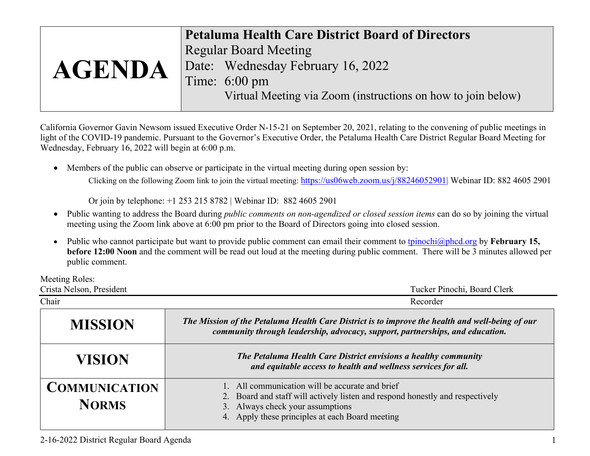|               | <b>Petaluma Health Care District Board of Directors</b>      |
|---------------|--------------------------------------------------------------|
|               | <b>Regular Board Meeting</b>                                 |
| <b>AGENDA</b> | Date: Wednesday February 16, 2022                            |
|               | Time: $6:00 \text{ pm}$                                      |
|               | Virtual Meeting via Zoom (instructions on how to join below) |

California Governor Gavin Newsom issued Executive Order N-15-21 on September 20, 2021, relating to the convening of public meetings in light of the COVID-19 pandemic. Pursuant to the Governor's Executive Order, the Petaluma Health Care District Regular Board Meeting for Wednesday, February 16, 2022 will begin at 6:00 p.m.

 Members of the public can observe or participate in the virtual meeting during open session by: Clicking on the following Zoom link to join the virtual meeting: https://us06web.zoom.us/j/88246052901| Webinar ID: 882 4605 2901

Or join by telephone: +1 253 215 8782 | Webinar ID: 882 4605 2901

- Public wanting to address the Board during *public comments on non-agendized or closed session items* can do so by joining the virtual meeting using the Zoom link above at 6:00 pm prior to the Board of Directors going into closed session.
- $\bullet$  Public who cannot participate but want to provide public comment can email their comment to tpinochi@phcd.org by **February 15, before 12:00 Noon** and the comment will be read out loud at the meeting during public comment. There will be 3 minutes allowed per public comment.

Meeting Roles:

| Crista Nelson, President             | Tucker Pinochi, Board Clerk                                                                                                                                                                                             |
|--------------------------------------|-------------------------------------------------------------------------------------------------------------------------------------------------------------------------------------------------------------------------|
| Chair                                | Recorder                                                                                                                                                                                                                |
| <b>MISSION</b>                       | The Mission of the Petaluma Health Care District is to improve the health and well-being of our<br>community through leadership, advocacy, support, partnerships, and education.                                        |
| <b>VISION</b>                        | The Petaluma Health Care District envisions a healthy community<br>and equitable access to health and wellness services for all.                                                                                        |
| <b>COMMUNICATION</b><br><b>NORMS</b> | 1. All communication will be accurate and brief<br>2. Board and staff will actively listen and respond honestly and respectively<br>3. Always check your assumptions<br>4. Apply these principles at each Board meeting |

2-16-2022 District Regular Board Agenda 1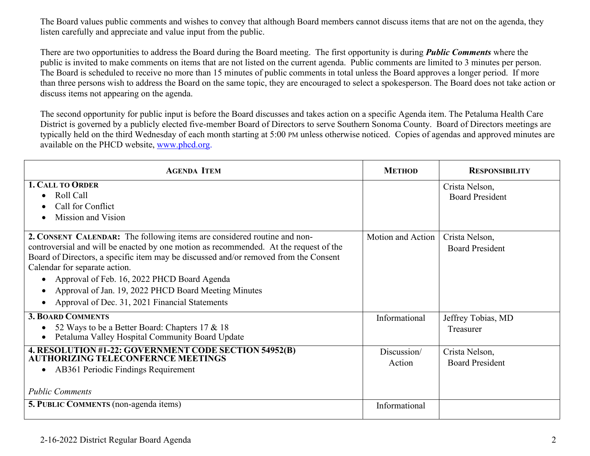The Board values public comments and wishes to convey that although Board members cannot discuss items that are not on the agenda, they listen carefully and appreciate and value input from the public.

There are two opportunities to address the Board during the Board meeting. The first opportunity is during *Public Comments* where the public is invited to make comments on items that are not listed on the current agenda. Public comments are limited to 3 minutes per person. The Board is scheduled to receive no more than 15 minutes of public comments in total unless the Board approves a longer period. If more than three persons wish to address the Board on the same topic, they are encouraged to select a spokesperson. The Board does not take action or discuss items not appearing on the agenda.

The second opportunity for public input is before the Board discusses and takes action on a specific Agenda item. The Petaluma Health Care District is governed by a publicly elected five-member Board of Directors to serve Southern Sonoma County. Board of Directors meetings are typically held on the third Wednesday of each month starting at 5:00 PM unless otherwise noticed. Copies of agendas and approved minutes are available on the PHCD website, [www.phcd.org.](http://www.phcd.org/)

| <b>AGENDA ITEM</b>                                                                                                                                                                                                                                                                                                                                                                                                                                               | <b>METHOD</b>         | <b>RESPONSIBILITY</b>                    |
|------------------------------------------------------------------------------------------------------------------------------------------------------------------------------------------------------------------------------------------------------------------------------------------------------------------------------------------------------------------------------------------------------------------------------------------------------------------|-----------------------|------------------------------------------|
| <b>1. CALL TO ORDER</b><br>Roll Call<br>Call for Conflict<br>Mission and Vision                                                                                                                                                                                                                                                                                                                                                                                  |                       | Crista Nelson,<br><b>Board President</b> |
| 2. CONSENT CALENDAR: The following items are considered routine and non-<br>controversial and will be enacted by one motion as recommended. At the request of the<br>Board of Directors, a specific item may be discussed and/or removed from the Consent<br>Calendar for separate action.<br>Approval of Feb. 16, 2022 PHCD Board Agenda<br>Approval of Jan. 19, 2022 PHCD Board Meeting Minutes<br>$\bullet$<br>Approval of Dec. 31, 2021 Financial Statements | Motion and Action     | Crista Nelson,<br><b>Board President</b> |
| <b>3. BOARD COMMENTS</b><br>52 Ways to be a Better Board: Chapters 17 & 18<br>Petaluma Valley Hospital Community Board Update                                                                                                                                                                                                                                                                                                                                    | Informational         | Jeffrey Tobias, MD<br>Treasurer          |
| 4. RESOLUTION #1-22: GOVERNMENT CODE SECTION 54952(B)<br><b>AUTHORIZING TELECONFERNCE MEETINGS</b><br>AB361 Periodic Findings Requirement<br>$\bullet$<br><b>Public Comments</b>                                                                                                                                                                                                                                                                                 | Discussion/<br>Action | Crista Nelson,<br><b>Board President</b> |
| <b>5. PUBLIC COMMENTS</b> (non-agenda items)                                                                                                                                                                                                                                                                                                                                                                                                                     | Informational         |                                          |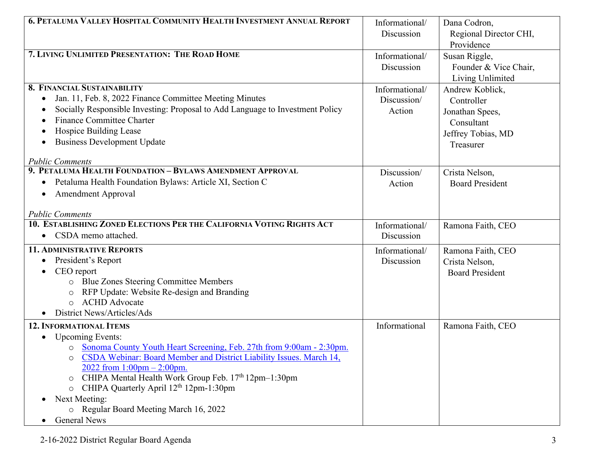| <b>6. PETALUMA VALLEY HOSPITAL COMMUNITY HEALTH INVESTMENT ANNUAL REPORT</b>             | Informational/ | Dana Codron,           |
|------------------------------------------------------------------------------------------|----------------|------------------------|
|                                                                                          | Discussion     | Regional Director CHI, |
|                                                                                          |                | Providence             |
| 7. LIVING UNLIMITED PRESENTATION: THE ROAD HOME                                          | Informational/ | Susan Riggle,          |
|                                                                                          | Discussion     | Founder & Vice Chair,  |
|                                                                                          |                | Living Unlimited       |
| <b>8. FINANCIAL SUSTAINABILITY</b>                                                       | Informational/ | Andrew Koblick,        |
| Jan. 11, Feb. 8, 2022 Finance Committee Meeting Minutes<br>$\bullet$                     | Discussion/    | Controller             |
| Socially Responsible Investing: Proposal to Add Language to Investment Policy            | Action         | Jonathan Spees,        |
| <b>Finance Committee Charter</b>                                                         |                | Consultant             |
| Hospice Building Lease                                                                   |                | Jeffrey Tobias, MD     |
| <b>Business Development Update</b>                                                       |                | Treasurer              |
| <b>Public Comments</b>                                                                   |                |                        |
| 9. PETALUMA HEALTH FOUNDATION - BYLAWS AMENDMENT APPROVAL                                | Discussion/    | Crista Nelson,         |
| Petaluma Health Foundation Bylaws: Article XI, Section C                                 | Action         | <b>Board President</b> |
| <b>Amendment Approval</b>                                                                |                |                        |
|                                                                                          |                |                        |
| <b>Public Comments</b>                                                                   |                |                        |
| 10. ESTABLISHING ZONED ELECTIONS PER THE CALIFORNIA VOTING RIGHTS ACT                    | Informational/ | Ramona Faith, CEO      |
| • CSDA memo attached.                                                                    | Discussion     |                        |
| <b>11. ADMINISTRATIVE REPORTS</b>                                                        | Informational/ | Ramona Faith, CEO      |
| President's Report                                                                       | Discussion     | Crista Nelson,         |
| CEO report                                                                               |                | <b>Board President</b> |
| Blue Zones Steering Committee Members<br>$\circ$                                         |                |                        |
| RFP Update: Website Re-design and Branding<br>$\circ$                                    |                |                        |
| <b>ACHD</b> Advocate<br>$\circ$                                                          |                |                        |
| District News/Articles/Ads                                                               |                |                        |
| <b>12. INFORMATIONAL ITEMS</b>                                                           | Informational  | Ramona Faith, CEO      |
| <b>Upcoming Events:</b>                                                                  |                |                        |
| o Sonoma County Youth Heart Screening, Feb. 27th from 9:00am - 2:30pm.                   |                |                        |
| CSDA Webinar: Board Member and District Liability Issues. March 14,<br>$\circ$           |                |                        |
| 2022 from $1:00$ pm $- 2:00$ pm.<br>CHIPA Mental Health Work Group Feb. 17th 12pm-1:30pm |                |                        |
| $\circ$<br>CHIPA Quarterly April 12 <sup>th</sup> 12pm-1:30pm                            |                |                        |
| $\circ$<br>Next Meeting:                                                                 |                |                        |
| O Regular Board Meeting March 16, 2022                                                   |                |                        |
| <b>General News</b><br>$\bullet$                                                         |                |                        |